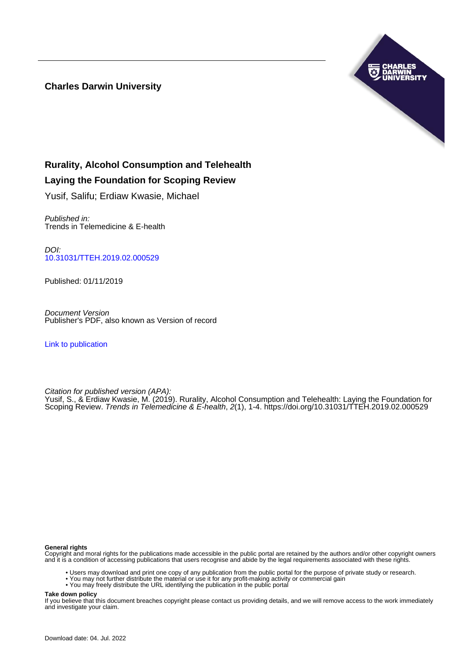# **Charles Darwin University**



# **Rurality, Alcohol Consumption and Telehealth**

# **Laying the Foundation for Scoping Review**

Yusif, Salifu; Erdiaw Kwasie, Michael

Published in: Trends in Telemedicine & E-health

DOI: [10.31031/TTEH.2019.02.000529](https://doi.org/10.31031/TTEH.2019.02.000529)

Published: 01/11/2019

Document Version Publisher's PDF, also known as Version of record

[Link to publication](https://researchers.cdu.edu.au/en/publications/b23153d4-223a-4185-a3f9-e5fe607b68ca)

Citation for published version (APA):

Yusif, S., & Erdiaw Kwasie, M. (2019). Rurality, Alcohol Consumption and Telehealth: Laying the Foundation for Scoping Review. Trends in Telemedicine & E-health, 2(1), 1-4. <https://doi.org/10.31031/TTEH.2019.02.000529>

#### **General rights**

Copyright and moral rights for the publications made accessible in the public portal are retained by the authors and/or other copyright owners and it is a condition of accessing publications that users recognise and abide by the legal requirements associated with these rights.

- Users may download and print one copy of any publication from the public portal for the purpose of private study or research.
- You may not further distribute the material or use it for any profit-making activity or commercial gain
- You may freely distribute the URL identifying the publication in the public portal

**Take down policy**

If you believe that this document breaches copyright please contact us providing details, and we will remove access to the work immediately and investigate your claim.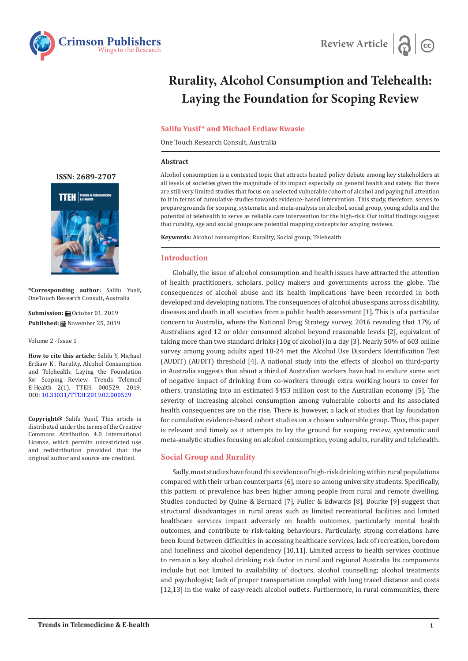



# **Rurality, Alcohol Consumption and Telehealth: Laying the Foundation for Scoping Review**

## **Salifu Yusif\* and Michael Erdiaw Kwasie**

One Touch Research Consult, Australia

#### **Abstract**

Alcohol consumption is a contested topic that attracts heated policy debate among key stakeholders at all levels of societies given the magnitude of its impact especially on general health and safety. But there are still very limited studies that focus on a selected vulnerable cohort of alcohol and paying full attention to it in terms of cumulative studies towards evidence-based intervention. This study, therefore, serves to prepare grounds for scoping, systematic and meta-analysis on alcohol, social group, young adults and the potential of telehealth to serve as reliable care intervention for the high-risk. Our initial findings suggest that rurality, age and social groups are potential mapping concepts for scoping reviews.

**Keywords:** Alcohol consumption; Rurality; Social group; Telehealth

## **Introduction**

Globally, the issue of alcohol consumption and health issues have attracted the attention of health practitioners, scholars, policy makers and governments across the globe. The consequences of alcohol abuse and its health implications have been recorded in both developed and developing nations. The consequences of alcohol abuse spans across disability, diseases and death in all societies from a public health assessment [1]. This is of a particular concern to Australia, where the National Drug Strategy survey, 2016 revealing that 17% of Australians aged 12 or older consumed alcohol beyond reasonable levels [2], equivalent of taking more than two standard drinks (10g of alcohol) in a day [3]. Nearly 50% of 603 online survey among young adults aged 18-24 met the Alcohol Use Disorders Identification Test (AUDIT) (AUDIT) threshold [4]. A national study into the effects of alcohol on third-party in Australia suggests that about a third of Australian workers have had to endure some sort of negative impact of drinking from co-workers through extra working hours to cover for others, translating into an estimated \$453 million cost to the Australian economy [5]. The severity of increasing alcohol consumption among vulnerable cohorts and its associated health consequences are on the rise. There is, however, a lack of studies that lay foundation for cumulative evidence-based cohort studies on a chosen vulnerable group. Thus, this paper is relevant and timely as it attempts to lay the ground for scoping review, systematic and meta-analytic studies focusing on alcohol consumption, young adults, rurality and telehealth.

## **Social Group and Rurality**

Sadly, most studies have found this evidence of high-risk drinking within rural populations compared with their urban counterparts [6], more so among university students. Specifically, this pattern of prevalence has been higher among people from rural and remote dwelling. Studies conducted by Quine & Bernard [7], Fuller & Edwards [8], Bourke [9] suggest that structural disadvantages in rural areas such as limited recreational facilities and limited healthcare services impact adversely on health outcomes, particularly mental health outcomes, and contribute to risk-taking behaviours. Particularly, strong correlations have been found between difficulties in accessing healthcare services, lack of recreation, boredom and loneliness and alcohol dependency [10,11]. Limited access to health services continue to remain a key alcohol drinking risk factor in rural and regional Australia Its components include but not limited to availability of doctors, alcohol counselling; alcohol treatments and psychologist; lack of proper transportation coupled with long travel distance and costs [12,13] in the wake of easy-reach alcohol outlets. Furthermore, in rural communities, there

**ISSN: 2689-2707**



**\*Corresponding author:** Salifu Yusif, OneTouch Research Consult, Australia

**Submission:** ■ October 01, 2019 **Published:** November 25, 2019

Volume 2 - Issue 1

**How to cite this article:** Salifu Y, Michael Erdiaw K . Rurality, Alcohol Consumption and Telehealth: Laying the Foundation for Scoping Review. Trends Telemed E-Health 2(1). TTEH. 000529. 2019. DOI: [10.31031/TTEH.2019.02.000529](http://dx.doi.org/10.31031/TTEH.2019.02.000529
)

**Copyright@** Salifu Yusif, This article is distributed under the terms of the Creative Commons Attribution 4.0 International License, which permits unrestricted use and redistribution provided that the original author and source are credited.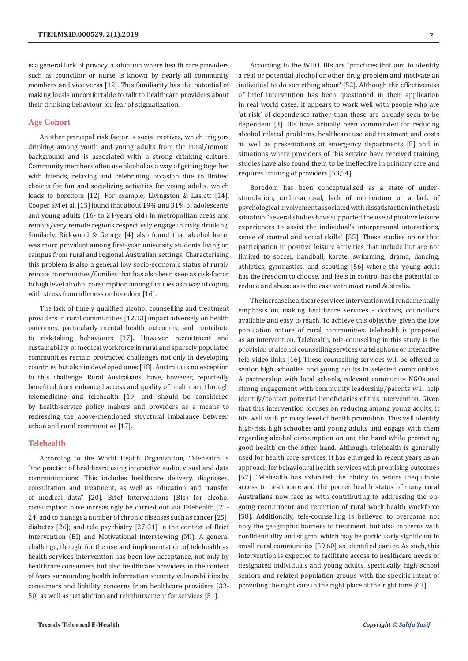is a general lack of privacy, a situation where health care providers such as councillor or nurse is known by nearly all community members and vice versa [12]. This familiarity has the potential of making locals uncomfortable to talk to healthcare providers about their drinking behaviour for fear of stigmatization.

#### **Age Cohort**

Another principal risk factor is social motives, which triggers drinking among youth and young adults from the rural/remote background and is associated with a strong drinking culture. Community members often use alcohol as a way of getting together with friends, relaxing and celebrating occasion due to limited choices for fun and socializing activities for young adults, which leads to boredom [12]. For example, Livingston & Laslett [14], Cooper SM et al. [15] found that about 19% and 31% of adolescents and young adults (16- to 24-years old) in metropolitan areas and remote/very remote regions respectively engage in risky drinking. Similarly, Rickwood & George [4] also found that alcohol harm was more prevalent among first-year university students living on campus from rural and regional Australian settings. Characterising this problem is also a general low socio-economic status of rural/ remote communities/families that has also been seen as risk-factor to high level alcohol consumption among families as a way of coping with stress from idleness or boredom [16].

The lack of timely qualified alcohol counselling and treatment providers in rural communities [12,13] impact adversely on health outcomes, particularly mental health outcomes, and contribute to risk-taking behaviours [17]. However, recruitment and sustainability of medical workforce in rural and sparsely populated communities remain protracted challenges not only in developing countries but also in developed ones [18]. Australia is no exception to this challenge. Rural Australians, have, however, reportedly benefited from enhanced access and quality of healthcare through telemedicine and telehealth [19] and should be considered by health-service policy makers and providers as a means to redressing the above-mentioned structural imbalance between urban and rural communities [17].

#### **Telehealth**

According to the World Health Organization, Telehealth is "the practice of healthcare using interactive audio, visual and data communications. This includes healthcare delivery, diagnoses, consultation and treatment, as well as education and transfer of medical data" [20]. Brief Interventions (BIs) for alcohol consumption have increasingly be carried out via Telehealth [21- 24] and to manage a number of chronic diseases such as cancer [25]; diabetes [26]; and tele psychiatry [27-31] in the context of Brief Intervention (BI) and Motivational Interviewing (MI). A general challenge, though, for the use and implementation of telehealth as health services intervention has been low acceptance, not only by healthcare consumers but also healthcare providers in the context of fears surrounding health information security vulnerabilities by consumers and liability concerns from healthcare providers [32- 50] as well as jurisdiction and reimbursement for services [51].

Boredom has been conceptualised as a state of understimulation, under-arousal, lack of momentum or a lack of psychological involvement associated with dissatisfaction in the task situation "Several studies have supported the use of positive leisure experiences to assist the individual's interpersonal interactions, sense of control and social skills" [55]. These studies opine that participation in positive leisure activities that include but are not limited to soccer, handball, karate, swimming, drama, dancing, athletics, gymnastics, and scouting [56] where the young adult has the freedom to choose, and feels in control has the potential to reduce and abuse as is the case with most rural Australia.

The increase healthcare services intervention will fundamentally emphasis on making healthcare services - doctors, councillors available and easy to reach. To achieve this objective, given the low population nature of rural communities, telehealth is proposed as an intervention. Telehealth, tele-counselling in this study is the provision of alcohol counselling services via telephone or interactive tele-video links [16]. These counselling services will be offered to senior high schoolies and young adults in selected communities. A partnership with local schools, relevant community NGOs and strong engagement with community leadership/parents will help identify/contact potential beneficiaries of this intervention. Given that this intervention focuses on reducing among young adults, it fits well with primary level of health promotion. This will identify high-risk high schoolies and young adults and engage with them regarding alcohol consumption on one the hand while promoting good health on the other hand. Although, telehealth is generally used for health care services, it has emerged in recent years as an approach for behavioural health services with promising outcomes [57]. Telehealth has exhibited the ability to reduce inequitable access to healthcare and the poorer health status of many rural Australians now face as with contributing to addressing the ongoing recruitment and retention of rural work health workforce [58]. Additionally, tele-counselling is believed to overcome not only the geographic barriers to treatment, but also concerns with confidentiality and stigma, which may be particularly significant in small rural communities [59,60] as identified earlier. As such, this intervention is expected to facilitate access to healthcare needs of designated individuals and young adults, specifically, high school seniors and related population groups with the specific intent of providing the right care in the right place at the right time [61].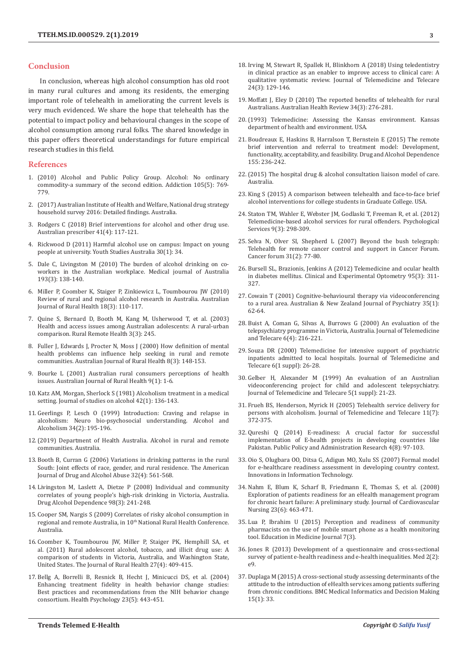#### **Conclusion**

In conclusion, whereas high alcohol consumption has old root in many rural cultures and among its residents, the emerging important role of telehealth in ameliorating the current levels is very much evidenced. We share the hope that telehealth has the potential to impact policy and behavioural changes in the scope of alcohol consumption among rural folks. The shared knowledge in this paper offers theoretical understandings for future empirical research studies in this field.

#### **References**

- 1. [\(2010\) Alcohol and Public Policy Group. Alcohol: No ordinary](https://www.ncbi.nlm.nih.gov/pubmed/20331569)  [commodity-a summary of the second edition. Addiction 105\(5\): 769-](https://www.ncbi.nlm.nih.gov/pubmed/20331569) [779.](https://www.ncbi.nlm.nih.gov/pubmed/20331569)
- 2. [\(2017\) Australian Institute of Health and Welfare, National drug strategy](https://www.aihw.gov.au/reports/illicit-use-of-drugs/2016-ndshs-detailed/contents/table-of-contents)  [household survey 2016: Detailed findings. Australia.](https://www.aihw.gov.au/reports/illicit-use-of-drugs/2016-ndshs-detailed/contents/table-of-contents)
- 3. [Rodgers C \(2018\) Brief interventions for alcohol and other drug use.](https://www.ncbi.nlm.nih.gov/pubmed/30116080/)  [Australian prescriber 41\(4\): 117-121.](https://www.ncbi.nlm.nih.gov/pubmed/30116080/)
- 4. Rickwood D (2011) Harmful alcohol use on campus: Impact on young people at university. Youth Studies Australia 30(1): 34.
- 5. [Dale C, Livingston M \(2010\) The burden of alcohol drinking on co](https://www.mja.com.au/journal/2010/193/3/burden-alcohol-drinking-co-workers-australian-workplace)[workers in the Australian workplace. Medical journal of Australia](https://www.mja.com.au/journal/2010/193/3/burden-alcohol-drinking-co-workers-australian-workplace)  [193\(3\): 138-140.](https://www.mja.com.au/journal/2010/193/3/burden-alcohol-drinking-co-workers-australian-workplace)
- 6. [Miller P, Coomber K, Staiger P, Zinkiewicz L, Toumbourou JW \(2010\)](https://www.ncbi.nlm.nih.gov/pubmed/20579021)  [Review of rural and regional alcohol research in Australia. Australian](https://www.ncbi.nlm.nih.gov/pubmed/20579021)  [Journal of Rural Health 18\(3\): 110-117.](https://www.ncbi.nlm.nih.gov/pubmed/20579021)
- 7. [Quine S, Bernard D, Booth M, Kang M, Usherwood T, et al. \(2003\)](https://www.ncbi.nlm.nih.gov/pubmed/15882102)  [Health and access issues among Australian adolescents: A rural-urban](https://www.ncbi.nlm.nih.gov/pubmed/15882102)  [comparison. Rural Remote Health 3\(3\): 245.](https://www.ncbi.nlm.nih.gov/pubmed/15882102)
- 8. [Fuller J, Edwards J, Procter N, Moss J \(2000\) How definition of mental](https://www.ncbi.nlm.nih.gov/pubmed/11249402)  [health problems can influence help seeking in rural and remote](https://www.ncbi.nlm.nih.gov/pubmed/11249402)  [communities. Australian Journal of Rural Health 8\(3\): 148-153.](https://www.ncbi.nlm.nih.gov/pubmed/11249402)
- 9. [Bourke L \(2001\) Australian rural consumers perceptions of health](https://www.ncbi.nlm.nih.gov/pubmed/11703259)  [issues. Australian Journal of Rural Health 9\(1\): 1-6.](https://www.ncbi.nlm.nih.gov/pubmed/11703259)
- 10. Katz AM, Morgan, Sherlock S (1981) Alcoholism treatment in a medical setting. Journal of studies on alcohol 42(1): 136-143.
- 11. [Geerlings P, Lesch O \(1999\) Introduction: Craving and relapse in](https://www.ncbi.nlm.nih.gov/pubmed/10344780)  [alcoholism: Neuro bio-psychosocial understanding. Alcohol and](https://www.ncbi.nlm.nih.gov/pubmed/10344780)  [Alcoholism 34\(2\): 195-196.](https://www.ncbi.nlm.nih.gov/pubmed/10344780)
- 12.[\(2019\) Department of Health Australia. Alcohol in rural and remote](https://www.health.gov.au/health-topics/alcohol/alcohol-throughout-life/alcohol-in-rural-and-remote-communities)  [communities. Australia.](https://www.health.gov.au/health-topics/alcohol/alcohol-throughout-life/alcohol-in-rural-and-remote-communities)
- 13. [Booth B, Curran G \(2006\) Variations in drinking patterns in the rural](https://www.ncbi.nlm.nih.gov/pubmed/17127544)  [South: Joint effects of race, gender, and rural residence. The American](https://www.ncbi.nlm.nih.gov/pubmed/17127544)  [Journal of Drug and Alcohol Abuse 32\(4\): 561-568.](https://www.ncbi.nlm.nih.gov/pubmed/17127544)
- 14. [Livingston M, Laslett A, Dietze P \(2008\) Individual and community](https://www.ncbi.nlm.nih.gov/pubmed/18640793)  [correlates of young people's high-risk drinking in Victoria, Australia.](https://www.ncbi.nlm.nih.gov/pubmed/18640793)  [Drug Alcohol Dependence 98\(3\): 241-248.](https://www.ncbi.nlm.nih.gov/pubmed/18640793)
- 15. [Cooper SM, Nargis S \(2009\) Correlates of risky alcohol consumption in](https://www.ruralhealth.org.au/10thNRHC/10thnrhc.ruralhealth.org.au/papers/docs/Cooper-Stanbury_Mark_A1.pdf)  regional and remote Australia, in 10<sup>th</sup> National Rural Health Conference. [Australia.](https://www.ruralhealth.org.au/10thNRHC/10thnrhc.ruralhealth.org.au/papers/docs/Cooper-Stanbury_Mark_A1.pdf)
- 16. [Coomber K, Toumbourou JW, Miller P, Staiger PK, Hemphill SA, et](https://www.ncbi.nlm.nih.gov/pubmed/21967385)  [al. \(2011\) Rural adolescent alcohol, tobacco, and illicit drug use: A](https://www.ncbi.nlm.nih.gov/pubmed/21967385)  [comparison of students in Victoria, Australia, and Washington State,](https://www.ncbi.nlm.nih.gov/pubmed/21967385)  [United States. The Journal of Rural Health 27\(4\): 409-415.](https://www.ncbi.nlm.nih.gov/pubmed/21967385)
- 17. [Bellg A, Borrelli B, Resnick B, Hecht J, Minicucci DS, et al. \(2004\)](https://www.ncbi.nlm.nih.gov/pubmed/15367063)  [Enhancing treatment fidelity in health behavior change studies:](https://www.ncbi.nlm.nih.gov/pubmed/15367063)  [Best practices and recommendations from the NIH behavior change](https://www.ncbi.nlm.nih.gov/pubmed/15367063)  [consortium. Health Psychology 23\(5\): 443-451.](https://www.ncbi.nlm.nih.gov/pubmed/15367063)
- 18. [Irving M, Stewart R, Spallek H, Blinkhorn A \(2018\) Using teledentistry](https://www.ncbi.nlm.nih.gov/pubmed/28092220) [in clinical practice as an enabler to improve access to clinical care: A](https://www.ncbi.nlm.nih.gov/pubmed/28092220) [qualitative systematic review. Journal of Telemedicine and Telecare](https://www.ncbi.nlm.nih.gov/pubmed/28092220) [24\(3\): 129-146.](https://www.ncbi.nlm.nih.gov/pubmed/28092220)
- 19. [Moffatt J, Eley D \(2010\) The reported benefits of telehealth for rural](https://www.ncbi.nlm.nih.gov/pubmed/20797357) [Australians. Australian Health Review 34\(3\): 276-281.](https://www.ncbi.nlm.nih.gov/pubmed/20797357)
- 20.[\(1993\) Telemedicine: Assessing the Kansas environment. Kansas](http://agris.fao.org/agris-search/search.do?recordID=US9566754) [department of health and environment. USA.](http://agris.fao.org/agris-search/search.do?recordID=US9566754)
- 21. [Boudreaux E, Haskins B, Harralson T, Bernstein E \(2015\) The remote](https://www.ncbi.nlm.nih.gov/pubmed/26297297) [brief intervention and referral to treatment model: Development,](https://www.ncbi.nlm.nih.gov/pubmed/26297297) [functionality, acceptability, and feasibility. Drug and Alcohol Dependence](https://www.ncbi.nlm.nih.gov/pubmed/26297297) [155: 236-242.](https://www.ncbi.nlm.nih.gov/pubmed/26297297)
- 22.[\(2015\) The hospital drug & alcohol consultation liaison model of care.](https://www.health.nsw.gov.au/aod/professionals/Pages/hosp-DA-consult-moc.aspx) [Australia.](https://www.health.nsw.gov.au/aod/professionals/Pages/hosp-DA-consult-moc.aspx)
- 23. [King S \(2015\) A comparison between telehealth and face-to-face brief](http://digitalcommons.unl.edu/cgi/viewcontent.cgi?article=1077&context=psychdiss) [alcohol interventions for college students in Graduate College. USA.](http://digitalcommons.unl.edu/cgi/viewcontent.cgi?article=1077&context=psychdiss)
- 24. [Staton TM, Wahler E, Webster JM, Godlaski T, Freeman R, et al. \(2012\)](https://www.ncbi.nlm.nih.gov/pubmed/22867122) [Telemedicine-based alcohol services for rural offenders. Psychological](https://www.ncbi.nlm.nih.gov/pubmed/22867122) [Services 9\(3\): 298-309.](https://www.ncbi.nlm.nih.gov/pubmed/22867122)
- 25. [Selva N, Olver SI, Shepherd L \(2007\) Beyond the bush telegraph:](https://search.informit.com.au/documentSummary;dn=442875128669052;res=IELIAC) [Telehealth for remote cancer control and support in Cancer Forum.](https://search.informit.com.au/documentSummary;dn=442875128669052;res=IELIAC) [Cancer forum 31\(2\): 77-80.](https://search.informit.com.au/documentSummary;dn=442875128669052;res=IELIAC)
- 26. [Bursell SL, Brazionis, Jenkins A \(2012\) Telemedicine and ocular health](https://www.ncbi.nlm.nih.gov/pubmed/22594547) [in diabetes mellitus. Clinical and Experimental Optometry 95\(3\): 311-](https://www.ncbi.nlm.nih.gov/pubmed/22594547) [327.](https://www.ncbi.nlm.nih.gov/pubmed/22594547)
- 27. [Cowain T \(2001\) Cognitive-behavioural therapy via videoconferencing](https://www.ncbi.nlm.nih.gov/pubmed/11270458) [to a rural area. Australian & New Zealand Journal of Psychiatry 35\(1\):](https://www.ncbi.nlm.nih.gov/pubmed/11270458) [62-64.](https://www.ncbi.nlm.nih.gov/pubmed/11270458)
- 28. [Buist A, Coman G, Silvas A, Burrows G \(2000\) An evaluation of the](https://www.ncbi.nlm.nih.gov/pubmed/11027122) [telepsychiatry programme in Victoria, Australia. Journal of Telemedicine](https://www.ncbi.nlm.nih.gov/pubmed/11027122) [and Telecare 6\(4\): 216-221.](https://www.ncbi.nlm.nih.gov/pubmed/11027122)
- 29. [Souza DR \(2000\) Telemedicine for intensive support of psychiatric](https://www.ncbi.nlm.nih.gov/pubmed/10793963) [inpatients admitted to local hospitals. Journal of Telemedicine and](https://www.ncbi.nlm.nih.gov/pubmed/10793963) [Telecare 6\(1 suppl\): 26-28.](https://www.ncbi.nlm.nih.gov/pubmed/10793963)
- 30. [Gelber H, Alexander M \(1999\) An evaluation of an Australian](https://www.ncbi.nlm.nih.gov/pubmed/10534829) [videoconferencing project for child and adolescent telepsychiatry.](https://www.ncbi.nlm.nih.gov/pubmed/10534829) [Journal of Telemedicine and Telecare 5\(1 suppl\): 21-23.](https://www.ncbi.nlm.nih.gov/pubmed/10534829)
- 31. [Frueh BS, Henderson, Myrick H \(2005\) Telehealth service delivery for](https://www.ncbi.nlm.nih.gov/pubmed/16238840) [persons with alcoholism. Journal of Telemedicine and Telecare 11\(7\):](https://www.ncbi.nlm.nih.gov/pubmed/16238840) [372-375.](https://www.ncbi.nlm.nih.gov/pubmed/16238840)
- 32. [Qureshi Q \(2014\) E-readiness: A crucial factor for successful](https://iiste.org/Journals/index.php/PPAR/article/view/14919) [implementation of E-health projects in developing countries like](https://iiste.org/Journals/index.php/PPAR/article/view/14919) [Pakistan. Public Policy and Administration Research 4\(8\): 97-103.](https://iiste.org/Journals/index.php/PPAR/article/view/14919)
- 33. [Oio S, Olugbara OO, Ditsa G, Adigun MO, Xulu SS \(2007\) Formal model](https://ieeexplore.ieee.org/document/4430380) [for e-healthcare readiness assessment in developing country context.](https://ieeexplore.ieee.org/document/4430380) [Innovations in Information Technology.](https://ieeexplore.ieee.org/document/4430380)
- 34. [Nahm E, Blum K, Scharf B, Friedmann E, Thomas S, et al. \(2008\)](https://www.ncbi.nlm.nih.gov/pubmed/18953206) [Exploration of patients readiness for an eHealth management program](https://www.ncbi.nlm.nih.gov/pubmed/18953206) [for chronic heart failure: A preliminary study. Journal of Cardiovascular](https://www.ncbi.nlm.nih.gov/pubmed/18953206) [Nursing 23\(6\): 463-471.](https://www.ncbi.nlm.nih.gov/pubmed/18953206)
- 35. [Lua P, Ibrahim U \(2015\) Perception and readiness of community](https://pdfs.semanticscholar.org/ef81/a92ed4059a02556e9d57fa187c9b91eafaea.pdf) [pharmacists on the use of mobile smart phone as a health monitoring](https://pdfs.semanticscholar.org/ef81/a92ed4059a02556e9d57fa187c9b91eafaea.pdf) [tool. Education in Medicine Journal 7\(3\).](https://pdfs.semanticscholar.org/ef81/a92ed4059a02556e9d57fa187c9b91eafaea.pdf)
- 36. [Jones R \(2013\) Development of a questionnaire and cross-sectional](https://www.ncbi.nlm.nih.gov/pubmed/25075244) [survey of patient e-health readiness and e-health inequalities. Med 2\(2\):](https://www.ncbi.nlm.nih.gov/pubmed/25075244) [e9.](https://www.ncbi.nlm.nih.gov/pubmed/25075244)
- 37. [Duplaga M \(2015\) A cross-sectional study assessing determinants of the](https://www.ncbi.nlm.nih.gov/pubmed/25927312) [attitude to the introduction of eHealth services among patients suffering](https://www.ncbi.nlm.nih.gov/pubmed/25927312) [from chronic conditions. BMC Medical Informatics and Decision Making](https://www.ncbi.nlm.nih.gov/pubmed/25927312) [15\(1\): 33.](https://www.ncbi.nlm.nih.gov/pubmed/25927312)